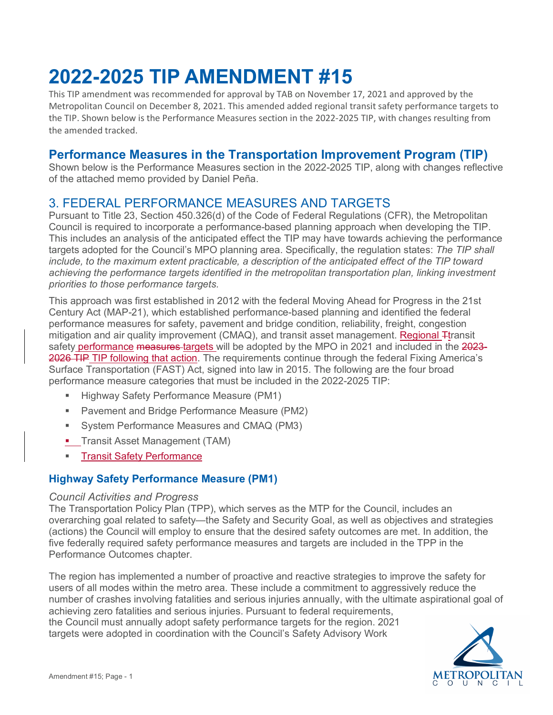# **2022-2025 TIP AMENDMENT #15**

This TIP amendment was recommended for approval by TAB on November 17, 2021 and approved by the Metropolitan Council on December 8, 2021. This amended added regional transit safety performance targets to the TIP. Shown below is the Performance Measures section in the 2022-2025 TIP, with changes resulting from the amended tracked.

# **Performance Measures in the Transportation Improvement Program (TIP)**

Shown below is the Performance Measures section in the 2022-2025 TIP, along with changes reflective of the attached memo provided by Daniel Peña.

# 3. FEDERAL PERFORMANCE MEASURES AND TARGETS

Pursuant to Title 23, Section 450.326(d) of the Code of Federal Regulations (CFR), the Metropolitan Council is required to incorporate a performance-based planning approach when developing the TIP. This includes an analysis of the anticipated effect the TIP may have towards achieving the performance targets adopted for the Council's MPO planning area. Specifically, the regulation states: *The TIP shall include, to the maximum extent practicable, a description of the anticipated effect of the TIP toward achieving the performance targets identified in the metropolitan transportation plan, linking investment priorities to those performance targets.*

This approach was first established in 2012 with the federal Moving Ahead for Progress in the 21st Century Act (MAP-21), which established performance-based planning and identified the federal performance measures for safety, pavement and bridge condition, reliability, freight, congestion mitigation and air quality improvement (CMAQ), and transit asset management. Regional <sub>T</sub>transit safety performance measures targets will be adopted by the MPO in 2021 and included in the 2023-2026 TIP TIP following that action. The requirements continue through the federal Fixing America's Surface Transportation (FAST) Act, signed into law in 2015. The following are the four broad performance measure categories that must be included in the 2022-2025 TIP:

- Highway Safety Performance Measure (PM1)
- **Pavement and Bridge Performance Measure (PM2)**
- System Performance Measures and CMAQ (PM3)
- **Transit Asset Management (TAM)**
- **Transit Safety Performance**

# **Highway Safety Performance Measure (PM1)**

#### *Council Activities and Progress*

The Transportation Policy Plan (TPP), which serves as the MTP for the Council, includes an overarching goal related to safety—the Safety and Security Goal, as well as objectives and strategies (actions) the Council will employ to ensure that the desired safety outcomes are met. In addition, the five federally required safety performance measures and targets are included in the TPP in the Performance Outcomes chapter.

The region has implemented a number of proactive and reactive strategies to improve the safety for users of all modes within the metro area. These include a commitment to aggressively reduce the number of crashes involving fatalities and serious injuries annually, with the ultimate aspirational goal of achieving zero fatalities and serious injuries. Pursuant to federal requirements, the Council must annually adopt safety performance targets for the region. 2021 targets were adopted in coordination with the Council's Safety Advisory Work

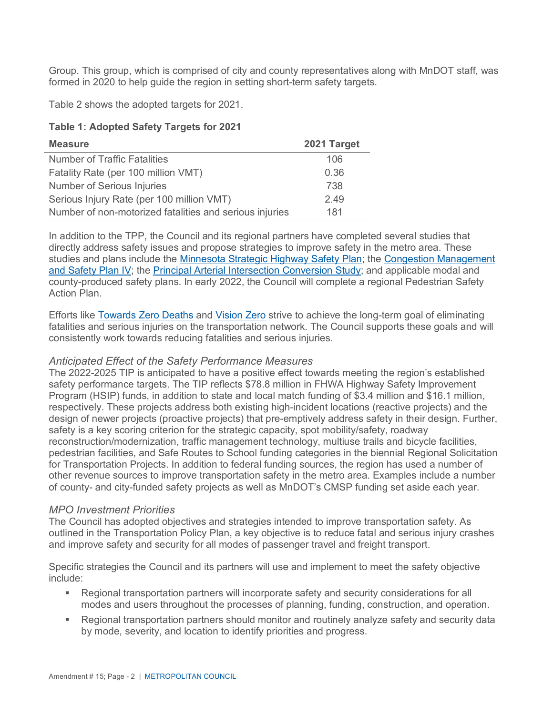Group. This group, which is comprised of city and county representatives along with MnDOT staff, was formed in 2020 to help guide the region in setting short-term safety targets.

Table 2 shows the adopted targets for 2021.

**Table 1: Adopted Safety Targets for 2021**

| <b>Measure</b>                                          | 2021 Target |
|---------------------------------------------------------|-------------|
| <b>Number of Traffic Fatalities</b>                     | 106         |
| Fatality Rate (per 100 million VMT)                     | 0.36        |
| <b>Number of Serious Injuries</b>                       | 738         |
| Serious Injury Rate (per 100 million VMT)               | 2.49        |
| Number of non-motorized fatalities and serious injuries | 181         |

In addition to the TPP, the Council and its regional partners have completed several studies that directly address safety issues and propose strategies to improve safety in the metro area. These studies and plans include the [Minnesota Strategic Highway Safety Plan;](http://www.dot.state.mn.us/trafficeng/safety/shsp/) the [Congestion Management](https://metrocouncil.org/Council-Meetings/Committees/Transportation-Committee/2017/102317/Info-1-_-CMSP-IV.aspx)  [and Safety Plan IV;](https://metrocouncil.org/Council-Meetings/Committees/Transportation-Committee/2017/102317/Info-1-_-CMSP-IV.aspx) the [Principal Arterial Intersection Conversion Study;](https://metrocouncil.org/Transportation/Planning-2/Transit-Plans,-Studies-Reports/Highways-Roads/Principal-Arterial-Intersection-Conversion-Study.aspx) and applicable modal and county-produced safety plans. In early 2022, the Council will complete a regional Pedestrian Safety Action Plan.

Efforts like [Towards Zero Deaths](http://www.minnesotatzd.org/) and [Vision Zero](https://visionzeronetwork.org/) strive to achieve the long-term goal of eliminating fatalities and serious injuries on the transportation network. The Council supports these goals and will consistently work towards reducing fatalities and serious injuries.

# *Anticipated Effect of the Safety Performance Measures*

The 2022-2025 TIP is anticipated to have a positive effect towards meeting the region's established safety performance targets. The TIP reflects \$78.8 million in FHWA Highway Safety Improvement Program (HSIP) funds, in addition to state and local match funding of \$3.4 million and \$16.1 million, respectively. These projects address both existing high-incident locations (reactive projects) and the design of newer projects (proactive projects) that pre-emptively address safety in their design. Further, safety is a key scoring criterion for the strategic capacity, spot mobility/safety, roadway reconstruction/modernization, traffic management technology, multiuse trails and bicycle facilities, pedestrian facilities, and Safe Routes to School funding categories in the biennial Regional Solicitation for Transportation Projects. In addition to federal funding sources, the region has used a number of other revenue sources to improve transportation safety in the metro area. Examples include a number of county- and city-funded safety projects as well as MnDOT's CMSP funding set aside each year.

# *MPO Investment Priorities*

The Council has adopted objectives and strategies intended to improve transportation safety. As outlined in the Transportation Policy Plan, a key objective is to reduce fatal and serious injury crashes and improve safety and security for all modes of passenger travel and freight transport.

Specific strategies the Council and its partners will use and implement to meet the safety objective include:

- Regional transportation partners will incorporate safety and security considerations for all modes and users throughout the processes of planning, funding, construction, and operation.
- Regional transportation partners should monitor and routinely analyze safety and security data by mode, severity, and location to identify priorities and progress.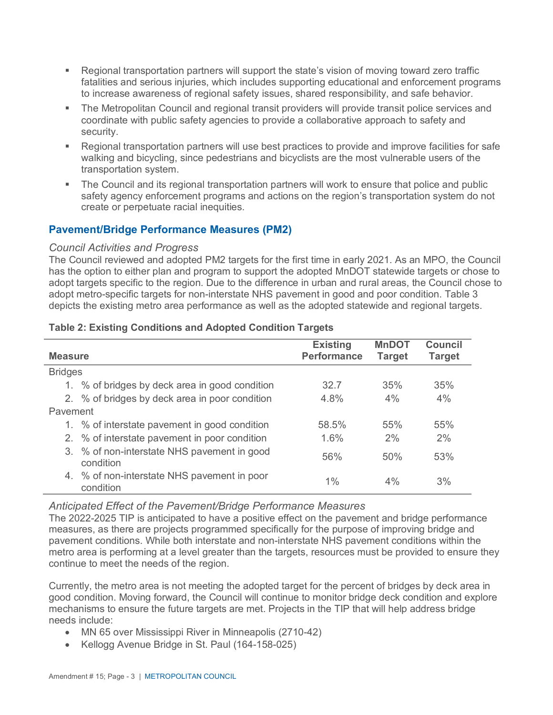- Regional transportation partners will support the state's vision of moving toward zero traffic fatalities and serious injuries, which includes supporting educational and enforcement programs to increase awareness of regional safety issues, shared responsibility, and safe behavior.
- The Metropolitan Council and regional transit providers will provide transit police services and coordinate with public safety agencies to provide a collaborative approach to safety and security.
- Regional transportation partners will use best practices to provide and improve facilities for safe walking and bicycling, since pedestrians and bicyclists are the most vulnerable users of the transportation system.
- The Council and its regional transportation partners will work to ensure that police and public safety agency enforcement programs and actions on the region's transportation system do not create or perpetuate racial inequities.

# **Pavement/Bridge Performance Measures (PM2)**

# *Council Activities and Progress*

The Council reviewed and adopted PM2 targets for the first time in early 2021. As an MPO, the Council has the option to either plan and program to support the adopted MnDOT statewide targets or chose to adopt targets specific to the region. Due to the difference in urban and rural areas, the Council chose to adopt metro-specific targets for non-interstate NHS pavement in good and poor condition. Table 3 depicts the existing metro area performance as well as the adopted statewide and regional targets.

# **Table 2: Existing Conditions and Adopted Condition Targets**

| <b>Measure</b> |                                                          | <b>Existing</b><br><b>Performance</b> | <b>MnDOT</b><br><b>Target</b> | <b>Council</b><br>Target |
|----------------|----------------------------------------------------------|---------------------------------------|-------------------------------|--------------------------|
| <b>Bridges</b> |                                                          |                                       |                               |                          |
|                | 1. % of bridges by deck area in good condition           | 32.7                                  | 35%                           | 35%                      |
|                | 2. % of bridges by deck area in poor condition           | 4.8%                                  | 4%                            | 4%                       |
| Pavement       |                                                          |                                       |                               |                          |
|                | 1. % of interstate pavement in good condition            | 58.5%                                 | 55%                           | 55%                      |
|                | 2. % of interstate pavement in poor condition            | 1.6%                                  | 2%                            | 2%                       |
|                | 3. % of non-interstate NHS pavement in good<br>condition | 56%                                   | 50%                           | 53%                      |
|                | 4. % of non-interstate NHS pavement in poor<br>condition | $1\%$                                 | 4%                            | 3%                       |

# *Anticipated Effect of the Pavement/Bridge Performance Measures*

The 2022-2025 TIP is anticipated to have a positive effect on the pavement and bridge performance measures, as there are projects programmed specifically for the purpose of improving bridge and pavement conditions. While both interstate and non-interstate NHS pavement conditions within the metro area is performing at a level greater than the targets, resources must be provided to ensure they continue to meet the needs of the region.

Currently, the metro area is not meeting the adopted target for the percent of bridges by deck area in good condition. Moving forward, the Council will continue to monitor bridge deck condition and explore mechanisms to ensure the future targets are met. Projects in the TIP that will help address bridge needs include:

- MN 65 over Mississippi River in Minneapolis (2710-42)
- Kellogg Avenue Bridge in St. Paul (164-158-025)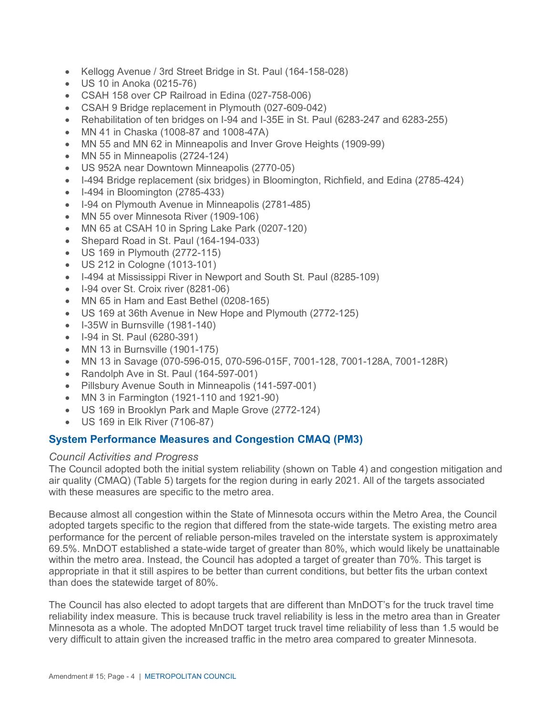- Kellogg Avenue / 3rd Street Bridge in St. Paul (164-158-028)
- US 10 in Anoka (0215-76)
- CSAH 158 over CP Railroad in Edina (027-758-006)
- CSAH 9 Bridge replacement in Plymouth (027-609-042)
- Rehabilitation of ten bridges on I-94 and I-35E in St. Paul (6283-247 and 6283-255)
- MN 41 in Chaska (1008-87 and 1008-47A)
- MN 55 and MN 62 in Minneapolis and Inver Grove Heights (1909-99)
- MN 55 in Minneapolis (2724-124)
- US 952A near Downtown Minneapolis (2770-05)
- I-494 Bridge replacement (six bridges) in Bloomington, Richfield, and Edina (2785-424)
- I-494 in Bloomington (2785-433)
- I-94 on Plymouth Avenue in Minneapolis (2781-485)
- MN 55 over Minnesota River (1909-106)
- MN 65 at CSAH 10 in Spring Lake Park (0207-120)
- Shepard Road in St. Paul (164-194-033)
- US 169 in Plymouth (2772-115)
- US 212 in Cologne (1013-101)
- I-494 at Mississippi River in Newport and South St. Paul (8285-109)
- I-94 over St. Croix river (8281-06)
- MN 65 in Ham and East Bethel (0208-165)
- US 169 at 36th Avenue in New Hope and Plymouth (2772-125)
- I-35W in Burnsville (1981-140)
- I-94 in St. Paul (6280-391)
- MN 13 in Burnsville (1901-175)
- MN 13 in Savage (070-596-015, 070-596-015F, 7001-128, 7001-128A, 7001-128R)
- Randolph Ave in St. Paul (164-597-001)
- Pillsbury Avenue South in Minneapolis (141-597-001)
- MN 3 in Farmington (1921-110 and 1921-90)
- US 169 in Brooklyn Park and Maple Grove (2772-124)
- US 169 in Elk River (7106-87)

# **System Performance Measures and Congestion CMAQ (PM3)**

# *Council Activities and Progress*

The Council adopted both the initial system reliability (shown on Table 4) and congestion mitigation and air quality (CMAQ) (Table 5) targets for the region during in early 2021. All of the targets associated with these measures are specific to the metro area.

Because almost all congestion within the State of Minnesota occurs within the Metro Area, the Council adopted targets specific to the region that differed from the state-wide targets. The existing metro area performance for the percent of reliable person-miles traveled on the interstate system is approximately 69.5%. MnDOT established a state-wide target of greater than 80%, which would likely be unattainable within the metro area. Instead, the Council has adopted a target of greater than 70%. This target is appropriate in that it still aspires to be better than current conditions, but better fits the urban context than does the statewide target of 80%.

The Council has also elected to adopt targets that are different than MnDOT's for the truck travel time reliability index measure. This is because truck travel reliability is less in the metro area than in Greater Minnesota as a whole. The adopted MnDOT target truck travel time reliability of less than 1.5 would be very difficult to attain given the increased traffic in the metro area compared to greater Minnesota.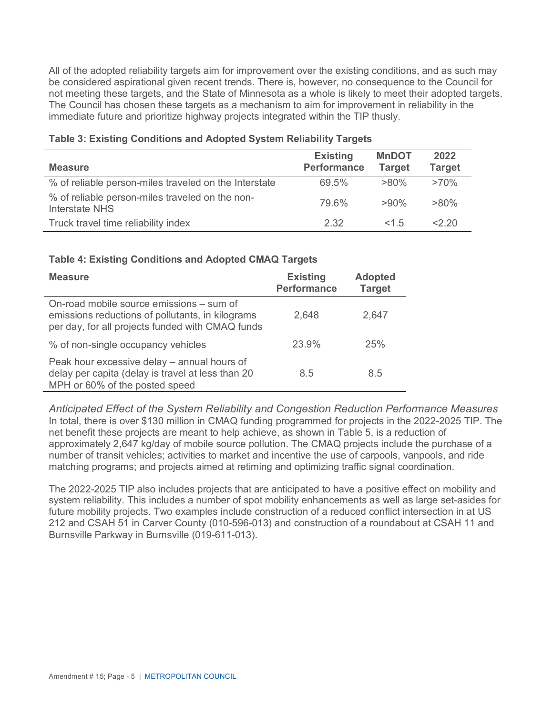All of the adopted reliability targets aim for improvement over the existing conditions, and as such may be considered aspirational given recent trends. There is, however, no consequence to the Council for not meeting these targets, and the State of Minnesota as a whole is likely to meet their adopted targets. The Council has chosen these targets as a mechanism to aim for improvement in reliability in the immediate future and prioritize highway projects integrated within the TIP thusly.

| <b>Measure</b>                                                    | <b>Existing</b><br><b>Performance</b> | <b>MnDOT</b><br><b>Target</b> | 2022<br><b>Target</b> |
|-------------------------------------------------------------------|---------------------------------------|-------------------------------|-----------------------|
| % of reliable person-miles traveled on the Interstate             | 69.5%                                 | $>80\%$                       | $>70\%$               |
| % of reliable person-miles traveled on the non-<br>Interstate NHS | 79.6%                                 | $>90\%$                       | $>80\%$               |
| Truck travel time reliability index                               | 2.32                                  | 15                            | $<$ 20                |

#### **Table 3: Existing Conditions and Adopted System Reliability Targets**

#### **Table 4: Existing Conditions and Adopted CMAQ Targets**

| <b>Measure</b>                                                                                                                                   | <b>Existing</b><br><b>Performance</b> | <b>Adopted</b><br><b>Target</b> |
|--------------------------------------------------------------------------------------------------------------------------------------------------|---------------------------------------|---------------------------------|
| On-road mobile source emissions – sum of<br>emissions reductions of pollutants, in kilograms<br>per day, for all projects funded with CMAQ funds | 2,648                                 | 2,647                           |
| % of non-single occupancy vehicles                                                                                                               | 23.9%                                 | 25%                             |
| Peak hour excessive delay - annual hours of<br>delay per capita (delay is travel at less than 20<br>MPH or 60% of the posted speed               | 8.5                                   | 8.5                             |

*Anticipated Effect of the System Reliability and Congestion Reduction Performance Measures* In total, there is over \$130 million in CMAQ funding programmed for projects in the 2022-2025 TIP. The net benefit these projects are meant to help achieve, as shown in Table 5, is a reduction of approximately 2,647 kg/day of mobile source pollution. The CMAQ projects include the purchase of a number of transit vehicles; activities to market and incentive the use of carpools, vanpools, and ride matching programs; and projects aimed at retiming and optimizing traffic signal coordination.

The 2022-2025 TIP also includes projects that are anticipated to have a positive effect on mobility and system reliability. This includes a number of spot mobility enhancements as well as large set-asides for future mobility projects. Two examples include construction of a reduced conflict intersection in at US 212 and CSAH 51 in Carver County (010-596-013) and construction of a roundabout at CSAH 11 and Burnsville Parkway in Burnsville (019-611-013).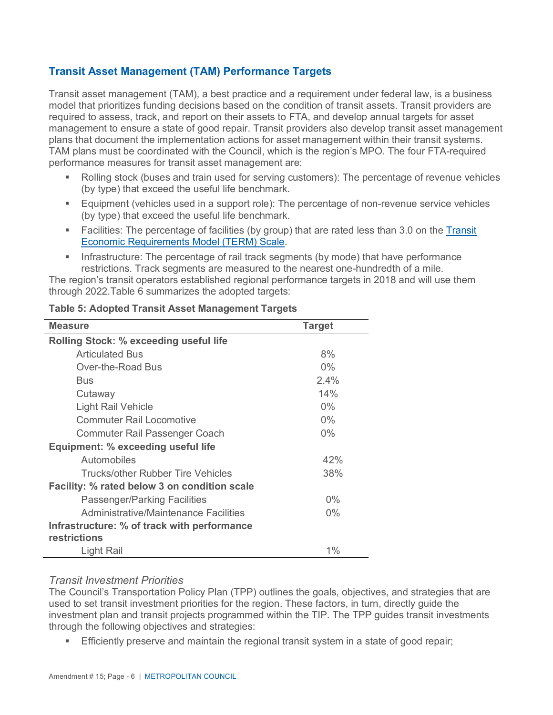# **Transit Asset Management (TAM) Performance Targets**

Transit asset management (TAM), a best practice and a requirement under federal law, is a business model that prioritizes funding decisions based on the condition of transit assets. Transit providers are required to assess, track, and report on their assets to FTA, and develop annual targets for asset management to ensure a state of good repair. Transit providers also develop transit asset management plans that document the implementation actions for asset management within their transit systems. TAM plans must be coordinated with the Council, which is the region's MPO. The four FTA-required performance measures for transit asset management are:

- Rolling stock (buses and train used for serving customers): The percentage of revenue vehicles (by type) that exceed the useful life benchmark.
- **Equipment (vehicles used in a support role): The percentage of non-revenue service vehicles** (by type) that exceed the useful life benchmark.
- Facilities: The percentage of facilities (by group) that are rated less than 3.0 on the [Transit](https://www.transit.dot.gov/TAM/gettingstarted/htmlFAQs)  [Economic Requirements Model \(TERM\) Scale.](https://www.transit.dot.gov/TAM/gettingstarted/htmlFAQs)
- Infrastructure: The percentage of rail track segments (by mode) that have performance restrictions. Track segments are measured to the nearest one-hundredth of a mile.

The region's transit operators established regional performance targets in 2018 and will use them through 2022.Table 6 summarizes the adopted targets:

| <b>Measure</b>                                | <b>Target</b> |
|-----------------------------------------------|---------------|
| <b>Rolling Stock: % exceeding useful life</b> |               |
| <b>Articulated Bus</b>                        | 8%            |
| Over-the-Road Bus                             | $0\%$         |
| Bus                                           | 2.4%          |
| Cutaway                                       | 14%           |
| Light Rail Vehicle                            | $0\%$         |
| <b>Commuter Rail Locomotive</b>               | $0\%$         |
| Commuter Rail Passenger Coach                 | $0\%$         |
| Equipment: % exceeding useful life            |               |
| Automobiles                                   | 42%           |
| Trucks/other Rubber Tire Vehicles             | 38%           |
| Facility: % rated below 3 on condition scale  |               |
| <b>Passenger/Parking Facilities</b>           | $0\%$         |
| Administrative/Maintenance Facilities         | $0\%$         |
| Infrastructure: % of track with performance   |               |
| restrictions                                  |               |
| Light Rail                                    | $1\%$         |

# **Table 5: Adopted Transit Asset Management Targets**

# *Transit Investment Priorities*

The Council's Transportation Policy Plan (TPP) outlines the goals, objectives, and strategies that are used to set transit investment priorities for the region. These factors, in turn, directly guide the investment plan and transit projects programmed within the TIP. The TPP guides transit investments through the following objectives and strategies:

Efficiently preserve and maintain the regional transit system in a state of good repair;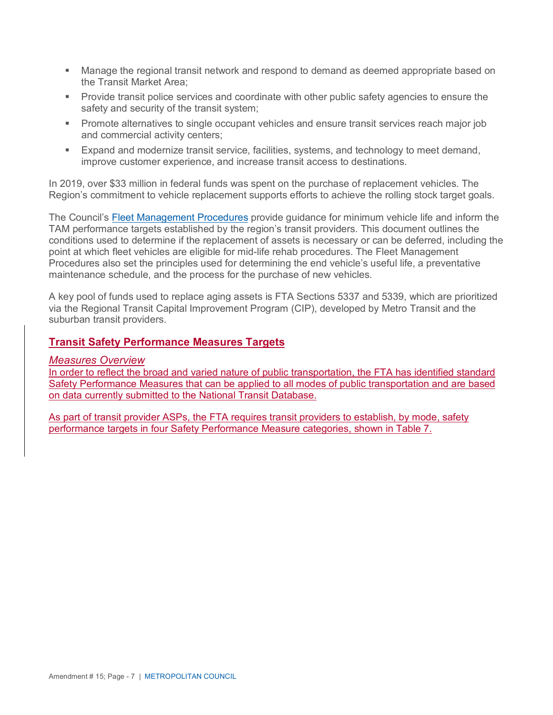- Manage the regional transit network and respond to demand as deemed appropriate based on the Transit Market Area;
- Provide transit police services and coordinate with other public safety agencies to ensure the safety and security of the transit system;
- **Promote alternatives to single occupant vehicles and ensure transit services reach major job** and commercial activity centers;
- Expand and modernize transit service, facilities, systems, and technology to meet demand, improve customer experience, and increase transit access to destinations.

In 2019, over \$33 million in federal funds was spent on the purchase of replacement vehicles. The Region's commitment to vehicle replacement supports efforts to achieve the rolling stock target goals.

The Council's [Fleet Management Procedures](https://metrocouncil.org/Transportation/Publications-And-Resources/FleetPolicyFleetManagementProcedures-pdf.aspx) provide guidance for minimum vehicle life and inform the TAM performance targets established by the region's transit providers. This document outlines the conditions used to determine if the replacement of assets is necessary or can be deferred, including the point at which fleet vehicles are eligible for mid-life rehab procedures. The Fleet Management Procedures also set the principles used for determining the end vehicle's useful life, a preventative maintenance schedule, and the process for the purchase of new vehicles.

A key pool of funds used to replace aging assets is FTA Sections 5337 and 5339, which are prioritized via the Regional Transit Capital Improvement Program (CIP), developed by Metro Transit and the suburban transit providers.

# **Transit Safety Performance Measures Targets**

# *Measures Overview*

In order to reflect the broad and varied nature of public transportation, the FTA has identified standard Safety Performance Measures that can be applied to all modes of public transportation and are based on data currently submitted to the National Transit Database.

As part of transit provider ASPs, the FTA requires transit providers to establish, by mode, safety performance targets in four Safety Performance Measure categories, shown in Table 7.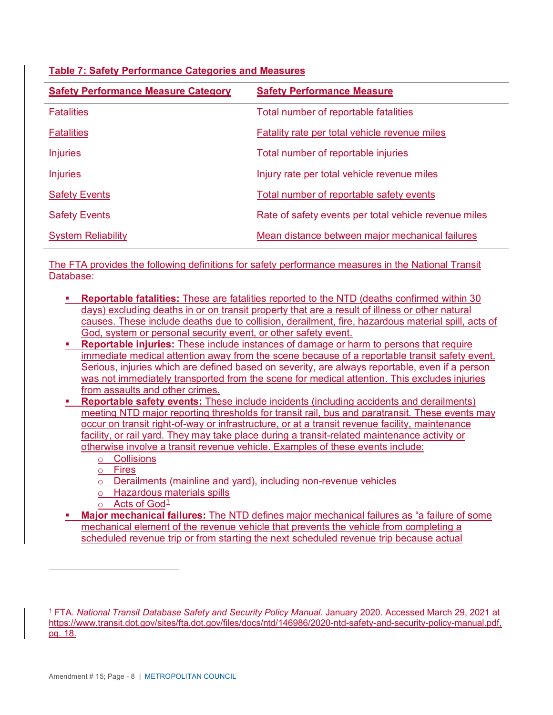| <b>Table 7: Safety Performance Categories and Measures</b> |
|------------------------------------------------------------|
|------------------------------------------------------------|

| <b>Safety Performance Measure Category</b> | <b>Safety Performance Measure</b>                     |
|--------------------------------------------|-------------------------------------------------------|
| <b>Fatalities</b>                          | Total number of reportable fatalities                 |
| <b>Fatalities</b>                          | <b>Fatality rate per total vehicle revenue miles</b>  |
| <b>Injuries</b>                            | Total number of reportable injuries                   |
| <b>Injuries</b>                            | Injury rate per total vehicle revenue miles           |
| <b>Safety Events</b>                       | Total number of reportable safety events              |
| <b>Safety Events</b>                       | Rate of safety events per total vehicle revenue miles |
| <b>System Reliability</b>                  | Mean distance between major mechanical failures       |

The FTA provides the following definitions for safety performance measures in the National Transit Database:

- **Reportable fatalities:** These are fatalities reported to the NTD (deaths confirmed within 30 days) excluding deaths in or on transit property that are a result of illness or other natural causes. These include deaths due to collision, derailment, fire, hazardous material spill, acts of God, system or personal security event, or other safety event.
- **Reportable injuries:** These include instances of damage or harm to persons that require immediate medical attention away from the scene because of a reportable transit safety event. Serious, injuries which are defined based on severity, are always reportable, even if a person was not immediately transported from the scene for medical attention. This excludes injuries from assaults and other crimes.
- **Reportable safety events:** These include incidents (including accidents and derailments) meeting NTD major reporting thresholds for transit rail, bus and paratransit. These events may occur on transit right-of-way or infrastructure, or at a transit revenue facility, maintenance facility, or rail yard. They may take place during a transit-related maintenance activity or otherwise involve a transit revenue vehicle. Examples of these events include:
	- o Collisions
	- o Fires
	- o Derailments (mainline and yard), including non-revenue vehicles
	- o Hazardous materials spills
	- $\circ$  Acts of God<sup>[1](#page-7-0)</sup>
- **Major mechanical failures:** The NTD defines major mechanical failures as "a failure of some mechanical element of the revenue vehicle that prevents the vehicle from completing a scheduled revenue trip or from starting the next scheduled revenue trip because actual

<span id="page-7-0"></span><sup>1</sup> FTA. *National Transit Database Safety and Security Policy Manual*. January 2020. Accessed March 29, 2021 at https://www.transit.dot.gov/sites/fta.dot.gov/files/docs/ntd/146986/2020-ntd-safety-and-security-policy-manual.pdf, pg. 18.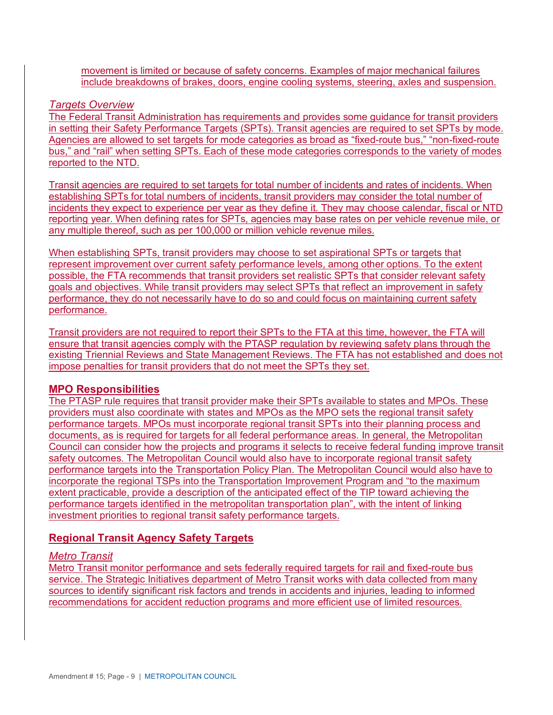movement is limited or because of safety concerns. Examples of major mechanical failures include breakdowns of brakes, doors, engine cooling systems, steering, axles and suspension.

#### *Targets Overview*

The Federal Transit Administration has requirements and provides some guidance for transit providers in setting their Safety Performance Targets (SPTs). Transit agencies are required to set SPTs by mode. Agencies are allowed to set targets for mode categories as broad as "fixed-route bus," "non-fixed-route bus," and "rail" when setting SPTs. Each of these mode categories corresponds to the variety of modes reported to the NTD.

Transit agencies are required to set targets for total number of incidents and rates of incidents. When establishing SPTs for total numbers of incidents, transit providers may consider the total number of incidents they expect to experience per year as they define it. They may choose calendar, fiscal or NTD reporting year. When defining rates for SPTs, agencies may base rates on per vehicle revenue mile, or any multiple thereof, such as per 100,000 or million vehicle revenue miles.

When establishing SPTs, transit providers may choose to set aspirational SPTs or targets that represent improvement over current safety performance levels, among other options. To the extent possible, the FTA recommends that transit providers set realistic SPTs that consider relevant safety goals and objectives. While transit providers may select SPTs that reflect an improvement in safety performance, they do not necessarily have to do so and could focus on maintaining current safety performance.

Transit providers are not required to report their SPTs to the FTA at this time, however, the FTA will ensure that transit agencies comply with the PTASP regulation by reviewing safety plans through the existing Triennial Reviews and State Management Reviews. The FTA has not established and does not impose penalties for transit providers that do not meet the SPTs they set.

# **MPO Responsibilities**

The PTASP rule requires that transit provider make their SPTs available to states and MPOs. These providers must also coordinate with states and MPOs as the MPO sets the regional transit safety performance targets. MPOs must incorporate regional transit SPTs into their planning process and documents, as is required for targets for all federal performance areas. In general, the Metropolitan Council can consider how the projects and programs it selects to receive federal funding improve transit safety outcomes. The Metropolitan Council would also have to incorporate regional transit safety performance targets into the Transportation Policy Plan. The Metropolitan Council would also have to incorporate the regional TSPs into the Transportation Improvement Program and "to the maximum extent practicable, provide a description of the anticipated effect of the TIP toward achieving the performance targets identified in the metropolitan transportation plan", with the intent of linking investment priorities to regional transit safety performance targets.

# **Regional Transit Agency Safety Targets**

#### *Metro Transit*

Metro Transit monitor performance and sets federally required targets for rail and fixed-route bus service. The Strategic Initiatives department of Metro Transit works with data collected from many sources to identify significant risk factors and trends in accidents and injuries, leading to informed recommendations for accident reduction programs and more efficient use of limited resources.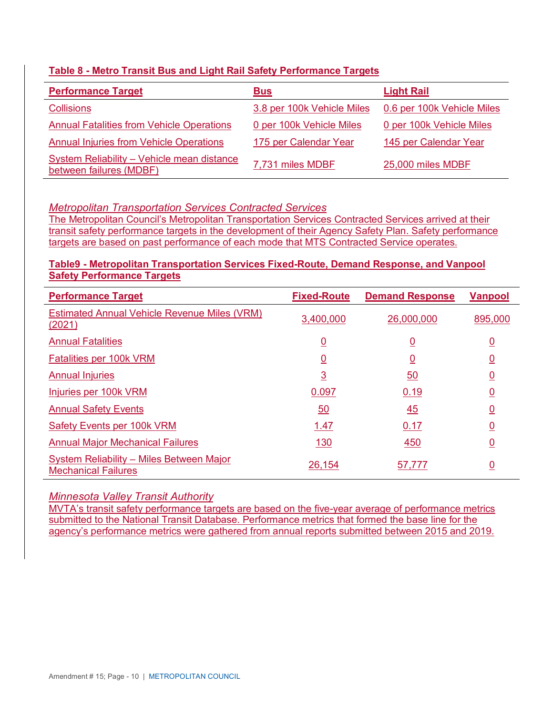# **Table 8 - Metro Transit Bus and Light Rail Safety Performance Targets**

| <b>Performance Target</b>                                             | <b>Bus</b>                 | <b>Light Rail</b>          |
|-----------------------------------------------------------------------|----------------------------|----------------------------|
| <b>Collisions</b>                                                     | 3.8 per 100k Vehicle Miles | 0.6 per 100k Vehicle Miles |
| <b>Annual Fatalities from Vehicle Operations</b>                      | 0 per 100k Vehicle Miles   | 0 per 100k Vehicle Miles   |
| <b>Annual Injuries from Vehicle Operations</b>                        | 175 per Calendar Year      | 145 per Calendar Year      |
| System Reliability - Vehicle mean distance<br>between failures (MDBF) | 7,731 miles MDBF           | 25,000 miles MDBF          |

# *Metropolitan Transportation Services Contracted Services*

The Metropolitan Council's Metropolitan Transportation Services Contracted Services arrived at their transit safety performance targets in the development of their Agency Safety Plan. Safety performance targets are based on past performance of each mode that MTS Contracted Service operates.

# **Table9 - Metropolitan Transportation Services Fixed-Route, Demand Response, and Vanpool Safety Performance Targets**

| <b>Performance Target</b>                                              | <b>Fixed-Route</b> | <b>Demand Response</b> | <b>Vanpool</b> |
|------------------------------------------------------------------------|--------------------|------------------------|----------------|
| <b>Estimated Annual Vehicle Revenue Miles (VRM)</b><br><u>(2021)</u>   | 3,400,000          | 26,000,000             | 895,000        |
| <b>Annual Fatalities</b>                                               | <u>0</u>           | <u>0</u>               | <u>0</u>       |
| Fatalities per 100k VRM                                                | <u>0</u>           | <u>0</u>               | <u>0</u>       |
| <b>Annual Injuries</b>                                                 | <u>3</u>           | 50                     | <u>0</u>       |
| Injuries per 100k VRM                                                  | 0.097              | 0.19                   | <u>0</u>       |
| <b>Annual Safety Events</b>                                            | 50                 | 45                     | <u>0</u>       |
| Safety Events per 100k VRM                                             | 1.47               | 0.17                   | <u>0</u>       |
| <b>Annual Major Mechanical Failures</b>                                | <u>130</u>         | 450                    | <u>0</u>       |
| System Reliability - Miles Between Major<br><b>Mechanical Failures</b> | 26,154             | 57,777                 | <u>0</u>       |

# *Minnesota Valley Transit Authority*

MVTA's transit safety performance targets are based on the five-year average of performance metrics submitted to the National Transit Database. Performance metrics that formed the base line for the agency's performance metrics were gathered from annual reports submitted between 2015 and 2019.